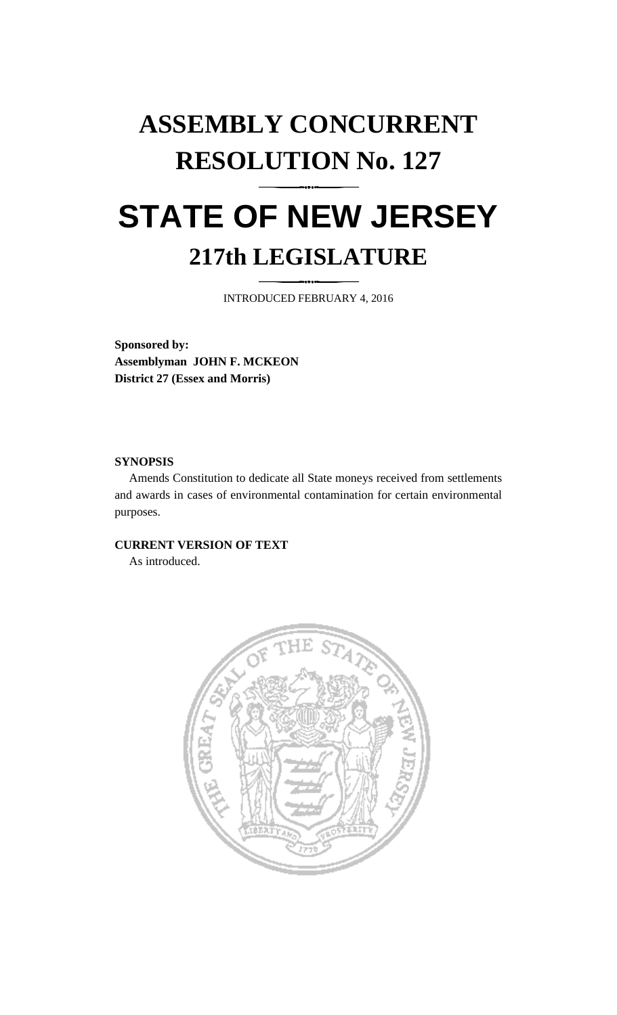# **ASSEMBLY CONCURRENT RESOLUTION No. 127**

## **STATE OF NEW JERSEY 217th LEGISLATURE**

INTRODUCED FEBRUARY 4, 2016

**Sponsored by: Assemblyman JOHN F. MCKEON District 27 (Essex and Morris)**

## **SYNOPSIS**

Amends Constitution to dedicate all State moneys received from settlements and awards in cases of environmental contamination for certain environmental purposes.

## **CURRENT VERSION OF TEXT**

As introduced.

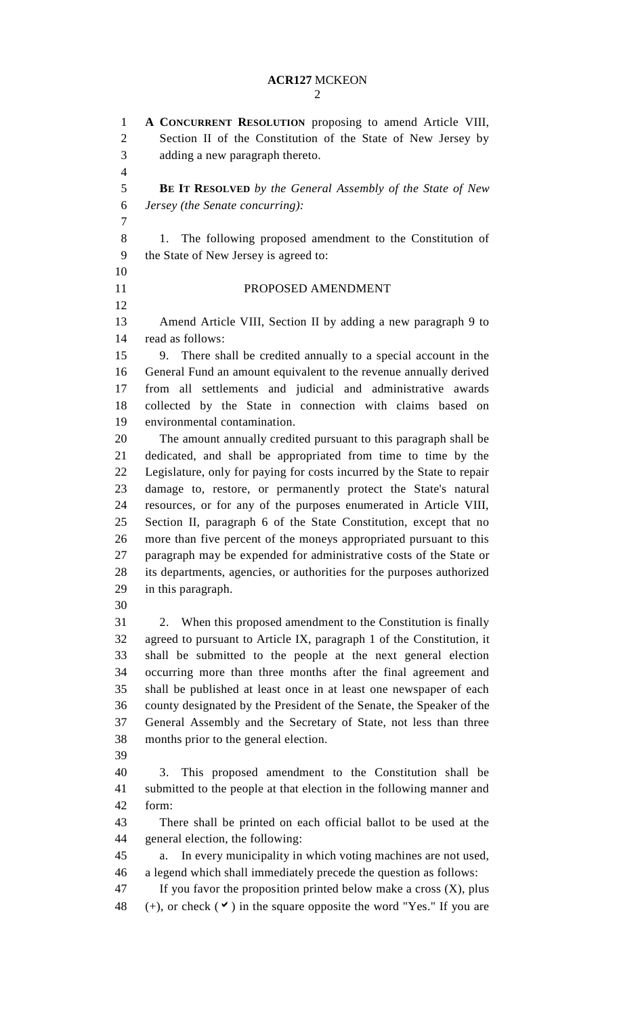**A CONCURRENT RESOLUTION** proposing to amend Article VIII, Section II of the Constitution of the State of New Jersey by adding a new paragraph thereto. **BE IT RESOLVED** *by the General Assembly of the State of New Jersey (the Senate concurring):* 1. The following proposed amendment to the Constitution of the State of New Jersey is agreed to: 11 PROPOSED AMENDMENT Amend Article VIII, Section II by adding a new paragraph 9 to read as follows: 9. There shall be credited annually to a special account in the General Fund an amount equivalent to the revenue annually derived from all settlements and judicial and administrative awards collected by the State in connection with claims based on environmental contamination. The amount annually credited pursuant to this paragraph shall be dedicated, and shall be appropriated from time to time by the Legislature, only for paying for costs incurred by the State to repair damage to, restore, or permanently protect the State's natural resources, or for any of the purposes enumerated in Article VIII, Section II, paragraph 6 of the State Constitution, except that no more than five percent of the moneys appropriated pursuant to this paragraph may be expended for administrative costs of the State or its departments, agencies, or authorities for the purposes authorized in this paragraph. 2. When this proposed amendment to the Constitution is finally agreed to pursuant to Article IX, paragraph 1 of the Constitution, it shall be submitted to the people at the next general election occurring more than three months after the final agreement and shall be published at least once in at least one newspaper of each county designated by the President of the Senate, the Speaker of the General Assembly and the Secretary of State, not less than three months prior to the general election. 3. This proposed amendment to the Constitution shall be submitted to the people at that election in the following manner and form: There shall be printed on each official ballot to be used at the general election, the following: a. In every municipality in which voting machines are not used, a legend which shall immediately precede the question as follows: If you favor the proposition printed below make a cross (X), plus 48 (+), or check  $(\vee)$  in the square opposite the word "Yes." If you are